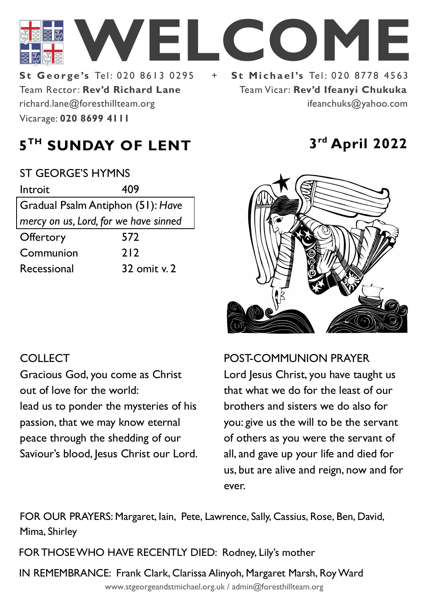

Team Rector: **Rev'd Richard Lane St George's Tel: 020 8613 0295** Vicarage: **020 8699 4111**  richard.lane@foresthillteam.org

Team Vicar: **Rev'd Ifeanyi Chukuka** ifeanchuks@yahoo.com

# **5 TH SUNDAY OF LENT 3**

| <b>ST GEORGE'S HYMNS</b>              |              |
|---------------------------------------|--------------|
| Introit                               | 409          |
| Gradual Psalm Antiphon (51): Have     |              |
| mercy on us, Lord, for we have sinned |              |
| Offertory                             | 572          |
| Communion                             | 212          |
| Recessional                           | 32 omit v. 2 |
|                                       |              |

# **rd April 2022**



## **COLLECT**

Gracious God, you come as Christ out of love for the world:

lead us to ponder the mysteries of his passion, that we may know eternal peace through the shedding of our Saviour's blood, Jesus Christ our Lord. POST-COMMUNION PRAYER

Lord Jesus Christ, you have taught us that what we do for the least of our brothers and sisters we do also for you: give us the will to be the servant of others as you were the servant of all, and gave up your life and died for us, but are alive and reign, now and for ever.

FOR OUR PRAYERS: Margaret, Iain, Pete, Lawrence, Sally, Cassius, Rose, Ben, David, Mima, Shirley

FOR THOSE WHO HAVE RECENTLY DIED: Rodney, Lily's mother

IN REMEMBRANCE: Frank Clark, Clarissa Alinyoh, Margaret Marsh, Roy Ward

www.stgeorgeandstmichael.org.uk / admin@foresthillteam.org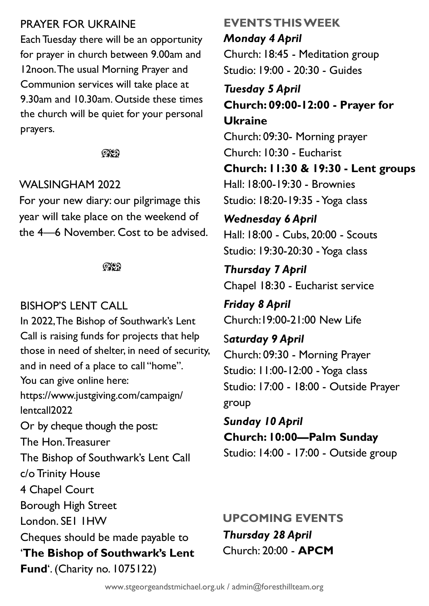### PRAYER FOR UKRAINE

Each Tuesday there will be an opportunity for prayer in church between 9.00am and 12noon. The usual Morning Prayer and Communion services will take place at 9.30am and 10.30am. Outside these times the church will be quiet for your personal prayers.

 $Q\chi$ 

### WALSINGHAM 2022

For your new diary: our pilgrimage this year will take place on the weekend of the 4—6 November. Cost to be advised.

೧೪೧

## BISHOP'S LENT CALL

In 2022, The Bishop of Southwark's Lent Call is raising funds for projects that help those in need of shelter, in need of security, and in need of a place to call "home". You can give online here: https://www.justgiving.com/campaign/ lentcall2022 Or by cheque though the post: The Hon. Treasurer The Bishop of Southwark's Lent Call c/o Trinity House 4 Chapel Court Borough High Street London. SE1 1HW Cheques should be made payable to '**The Bishop of Southwark's Lent Fund**'. (Charity no. 1075122)

## **EVENTS THIS WEEK** *Monday 4 April*

Church: 18:45 - Meditation group Studio: 19:00 - 20:30 - Guides

*Tuesday 5 April* **Church: 09:00-12:00 - Prayer for Ukraine** Church: 09:30- Morning prayer

Church: 10:30 - Eucharist **Church: 11:30 & 19:30 - Lent groups** Hall: 18:00-19:30 - Brownies Studio: 18:20-19:35 -Yoga class

*Wednesday 6 April* Hall: 18:00 - Cubs, 20:00 - Scouts Studio: 19:30-20:30 -Yoga class

*Thursday 7 April* Chapel 18:30 - Eucharist service

*Friday 8 April* Church:19:00-21:00 New Life

S*aturday 9 April* Church: 09:30 - Morning Prayer Studio: 11:00-12:00 -Yoga class Studio: 17:00 - 18:00 - Outside Prayer group

*Sunday 10 April* **Church: 10:00—Palm Sunday** Studio: 14:00 - 17:00 - Outside group

*Thursday 28 April* Church: 20:00 - **APCM UPCOMING EVENTS**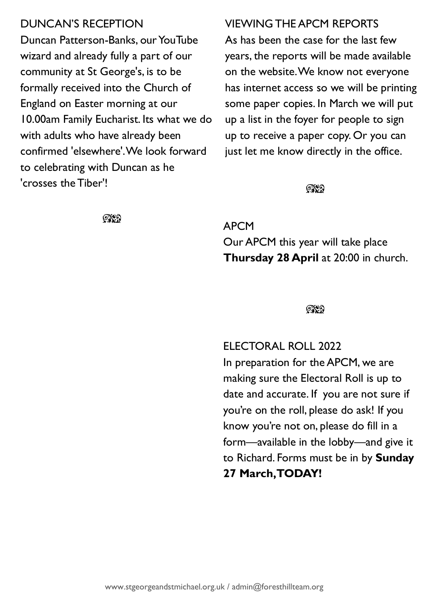### DUNCAN'S RECEPTION

Duncan Patterson-Banks, our YouTube wizard and already fully a part of our community at St George's, is to be formally received into the Church of England on Easter morning at our 10.00am Family Eucharist. Its what we do with adults who have already been confirmed 'elsewhere'. We look forward to celebrating with Duncan as he 'crosses the Tiber'!

#### VIEWING THE APCM REPORTS

As has been the case for the last few years, the reports will be made available on the website. We know not everyone has internet access so we will be printing some paper copies. In March we will put up a list in the foyer for people to sign up to receive a paper copy. Or you can just let me know directly in the office.

೧೪೧

**OXO** 

APCM Our APCM this year will take place **Thursday 28 April** at 20:00 in church.

#### $@$

ELECTORAL ROLL 2022

In preparation for the APCM, we are making sure the Electoral Roll is up to date and accurate. If you are not sure if you're on the roll, please do ask! If you know you're not on, please do fill in a form—available in the lobby—and give it to Richard. Forms must be in by **Sunday 27 March, TODAY!**